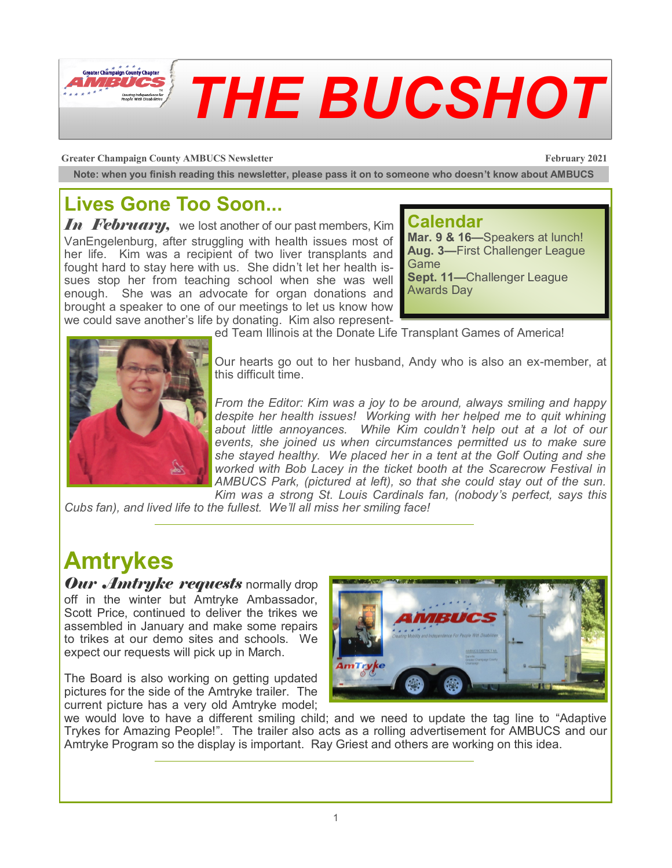

**Greater Champaign County AMBUCS Newsletter February 2021**

**Note: when you finish reading this newsletter, please pass it on to someone who doesn't know about AMBUCS**

### **Lives Gone Too Soon...**

*In February,* we lost another of our past members, Kim VanEngelenburg, after struggling with health issues most of her life. Kim was a recipient of two liver transplants and fought hard to stay here with us. She didn't let her health issues stop her from teaching school when she was well enough. She was an advocate for organ donations and brought a speaker to one of our meetings to let us know how we could save another's life by donating. Kim also represent-

#### **Calendar**

**Mar. 9 & 16—**Speakers at lunch! **Aug. 3—**First Challenger League Game **Sept. 11—**Challenger League Awards Day



ed Team Illinois at the Donate Life Transplant Games of America!

Our hearts go out to her husband, Andy who is also an ex-member, at this difficult time.

*From the Editor: Kim was a joy to be around, always smiling and happy despite her health issues! Working with her helped me to quit whining about little annoyances. While Kim couldn't help out at a lot of our events, she joined us when circumstances permitted us to make sure she stayed healthy. We placed her in a tent at the Golf Outing and she worked with Bob Lacey in the ticket booth at the Scarecrow Festival in AMBUCS Park, (pictured at left), so that she could stay out of the sun. Kim was a strong St. Louis Cardinals fan, (nobody's perfect, says this* 

*Cubs fan), and lived life to the fullest. We'll all miss her smiling face!*

## **Amtrykes**

*Our Amtryke requests* normally drop off in the winter but Amtryke Ambassador, Scott Price, continued to deliver the trikes we assembled in January and make some repairs to trikes at our demo sites and schools. We expect our requests will pick up in March.

The Board is also working on getting updated pictures for the side of the Amtryke trailer. The current picture has a very old Amtryke model;



we would love to have a different smiling child; and we need to update the tag line to "Adaptive Trykes for Amazing People!". The trailer also acts as a rolling advertisement for AMBUCS and our Amtryke Program so the display is important. Ray Griest and others are working on this idea.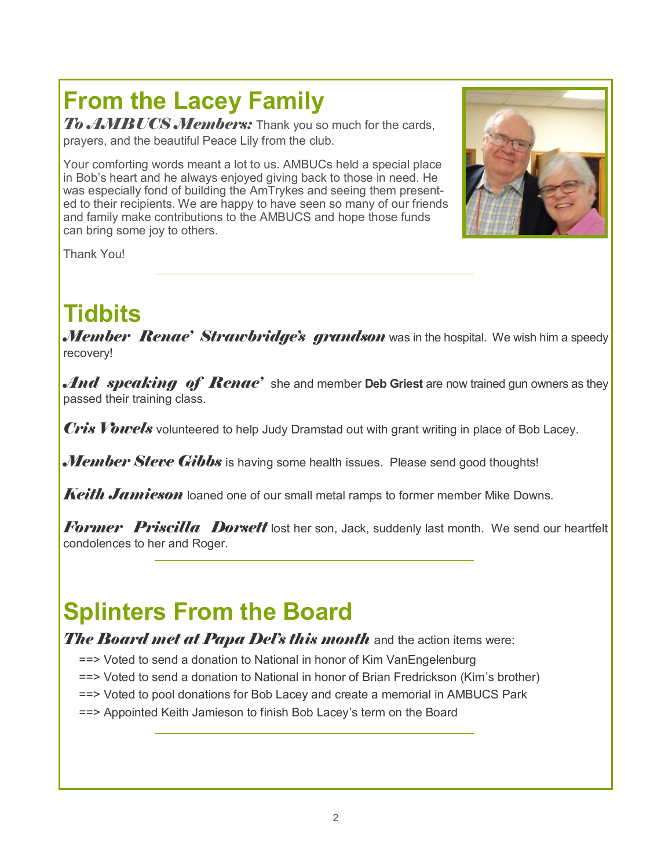# **From the Lacey Family**

*To AMBUCS Members:* Thank you so much for the cards, prayers, and the beautiful Peace Lily from the club.

Your comforting words meant a lot to us. AMBUCs held a special place in Bob's heart and he always enjoyed giving back to those in need. He was especially fond of building the AmTrykes and seeing them presented to their recipients. We are happy to have seen so many of our friends and family make contributions to the AMBUCS and hope those funds can bring some joy to others.



Thank You!

## **Tidbits**

*Member Renae' Strawbridge's grandson* was in the hospital. We wish him a speedy recovery!

*And speaking of Renae'* she and member Deb Griest are now trained gun owners as they passed their training class.

*Cris Vowels* volunteered to help Judy Dramstad out with grant writing in place of Bob Lacey.

Member Steve Gibbs is having some health issues. Please send good thoughts!

*Keith Jamieson* loaned one of our small metal ramps to former member Mike Downs.

*Former Priscilla Dorsett* lost her son, Jack, suddenly last month. We send our heartfelt condolences to her and Roger.

## **Splinters From the Board**

*The Board met at Papa Del's this month* and the action items were:

==> Voted to send a donation to National in honor of Kim VanEngelenburg

- ==> Voted to send a donation to National in honor of Brian Fredrickson (Kim's brother)
- ==> Voted to pool donations for Bob Lacey and create a memorial in AMBUCS Park
- ==> Appointed Keith Jamieson to finish Bob Lacey's term on the Board